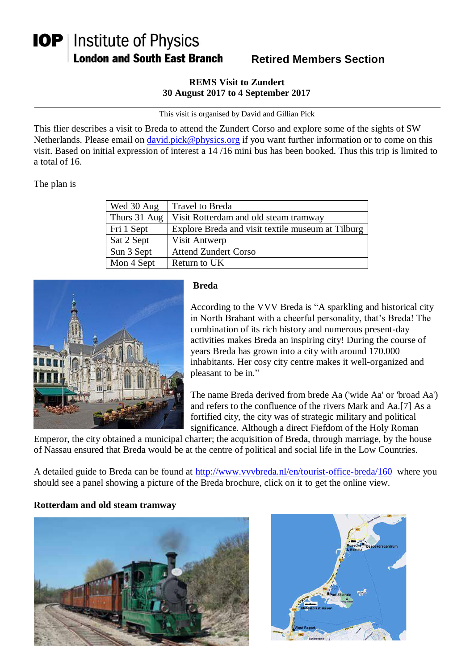# **IOP** | Institute of Physics **London and South East Branch**

## **Retired Members Section**

#### **REMS Visit to Zundert 30 August 2017 to 4 September 2017**

This visit is organised by David and Gillian Pick

This flier describes a visit to Breda to attend the Zundert Corso and explore some of the sights of SW Netherlands. Please email on [david.pick@physics.org](mailto:david.pick@physics.org) if you want further information or to come on this visit. Based on initial expression of interest a 14 /16 mini bus has been booked. Thus this trip is limited to a total of 16.

The plan is

| Wed 30 Aug   | Travel to Breda                                   |
|--------------|---------------------------------------------------|
| Thurs 31 Aug | Visit Rotterdam and old steam tramway             |
| Fri 1 Sept   | Explore Breda and visit textile museum at Tilburg |
| Sat 2 Sept   | Visit Antwerp                                     |
| Sun 3 Sept   | <b>Attend Zundert Corso</b>                       |
| Mon 4 Sept   | Return to UK                                      |



### **Breda**

According to the VVV Breda is "A sparkling and historical city in North Brabant with a cheerful personality, that's Breda! The combination of its rich history and numerous present-day activities makes Breda an inspiring city! During the course of years Breda has grown into a city with around 170.000 inhabitants. Her cosy city centre makes it well-organized and pleasant to be in."

The name Breda derived from brede Aa ('wide Aa' or 'broad Aa') and refers to the confluence of the rivers Mark and Aa.[7] As a fortified city, the city was of strategic military and political significance. Although a direct Fiefdom of the Holy Roman

Emperor, the city obtained a municipal charter; the acquisition of Breda, through marriage, by the house of Nassau ensured that Breda would be at the centre of political and social life in the Low Countries.

A detailed guide to Breda can be found at<http://www.vvvbreda.nl/en/tourist-office-breda/160> where you should see a panel showing a picture of the Breda brochure, click on it to get the online view.

### **Rotterdam and old steam tramway**



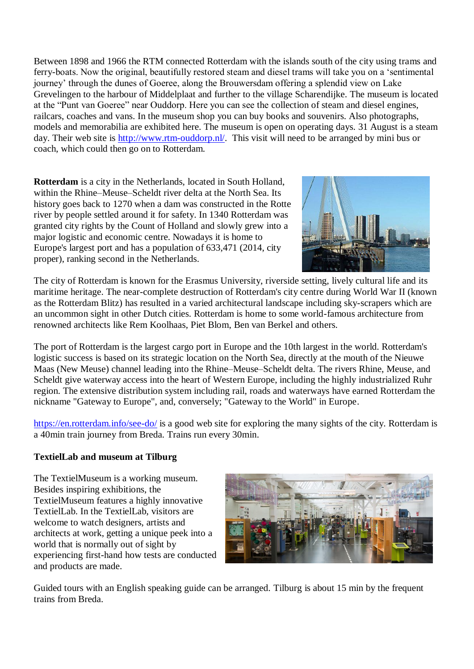Between 1898 and 1966 the RTM connected Rotterdam with the islands south of the city using trams and ferry-boats. Now the original, beautifully restored steam and diesel trams will take you on a 'sentimental journey' through the dunes of Goeree, along the Brouwersdam offering a splendid view on Lake Grevelingen to the harbour of Middelplaat and further to the village Scharendijke. The museum is located at the "Punt van Goeree" near Ouddorp. Here you can see the collection of steam and diesel engines, railcars, coaches and vans. In the museum shop you can buy books and souvenirs. Also photographs, models and memorabilia are exhibited here. The museum is open on operating days. 31 August is a steam day. Their web site is [http://www.rtm-ouddorp.nl/.](http://www.rtm-ouddorp.nl/) This visit will need to be arranged by mini bus or coach, which could then go on to Rotterdam.

**Rotterdam** is a city in the Netherlands, located in South Holland, within the Rhine–Meuse–Scheldt river delta at the North Sea. Its history goes back to 1270 when a dam was constructed in the Rotte river by people settled around it for safety. In 1340 Rotterdam was granted city rights by the Count of Holland and slowly grew into a major logistic and economic centre. Nowadays it is home to Europe's largest port and has a population of 633,471 (2014, city proper), ranking second in the Netherlands.



The city of Rotterdam is known for the Erasmus University, riverside setting, lively cultural life and its maritime heritage. The near-complete destruction of Rotterdam's city centre during World War II (known as the Rotterdam Blitz) has resulted in a varied architectural landscape including sky-scrapers which are an uncommon sight in other Dutch cities. Rotterdam is home to some world-famous architecture from renowned architects like Rem Koolhaas, Piet Blom, Ben van Berkel and others.

The port of Rotterdam is the largest cargo port in Europe and the 10th largest in the world. Rotterdam's logistic success is based on its strategic location on the North Sea, directly at the mouth of the Nieuwe Maas (New Meuse) channel leading into the Rhine–Meuse–Scheldt delta. The rivers Rhine, Meuse, and Scheldt give waterway access into the heart of Western Europe, including the highly industrialized Ruhr region. The extensive distribution system including rail, roads and waterways have earned Rotterdam the nickname "Gateway to Europe", and, conversely; "Gateway to the World" in Europe.

<https://en.rotterdam.info/see-do/> is a good web site for exploring the many sights of the city. Rotterdam is a 40min train journey from Breda. Trains run every 30min.

### **TextielLab and museum at Tilburg**

The TextielMuseum is a working museum. Besides inspiring exhibitions, the TextielMuseum features a highly innovative TextielLab. In the TextielLab, visitors are welcome to watch designers, artists and architects at work, getting a unique peek into a world that is normally out of sight by experiencing first-hand how tests are conducted and products are made.



Guided tours with an English speaking guide can be arranged. Tilburg is about 15 min by the frequent trains from Breda.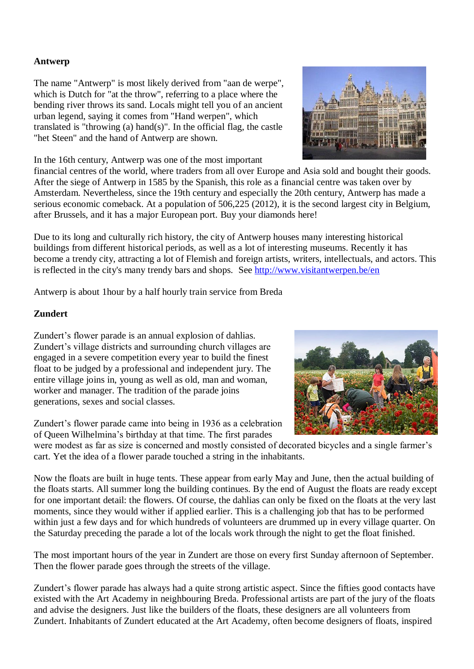#### **Antwerp**

The name "Antwerp" is most likely derived from "aan de werpe", which is Dutch for "at the throw", referring to a place where the bending river throws its sand. Locals might tell you of an ancient urban legend, saying it comes from "Hand werpen", which translated is "throwing (a) hand(s)". In the official flag, the castle "het Steen" and the hand of Antwerp are shown.

In the 16th century, Antwerp was one of the most important

financial centres of the world, where traders from all over Europe and Asia sold and bought their goods. After the siege of Antwerp in 1585 by the Spanish, this role as a financial centre was taken over by Amsterdam. Nevertheless, since the 19th century and especially the 20th century, Antwerp has made a serious economic comeback. At a population of 506,225 (2012), it is the second largest city in Belgium, after Brussels, and it has a major European port. Buy your diamonds here!

Due to its long and culturally rich history, the city of Antwerp houses many interesting historical buildings from different historical periods, as well as a lot of interesting museums. Recently it has become a trendy city, attracting a lot of Flemish and foreign artists, writers, intellectuals, and actors. This is reflected in the city's many trendy bars and shops. See<http://www.visitantwerpen.be/en>

Antwerp is about 1hour by a half hourly train service from Breda

### **Zundert**

Zundert's flower parade is an annual explosion of dahlias. Zundert's village districts and surrounding church villages are engaged in a severe competition every year to build the finest float to be judged by a professional and independent jury. The entire village joins in, young as well as old, man and woman, worker and manager. The tradition of the parade joins generations, sexes and social classes.

Zundert's flower parade came into being in 1936 as a celebration of Queen Wilhelmina's birthday at that time. The first parades

were modest as far as size is concerned and mostly consisted of decorated bicycles and a single farmer's cart. Yet the idea of a flower parade touched a string in the inhabitants.

Now the floats are built in huge tents. These appear from early May and June, then the actual building of the floats starts. All summer long the building continues. By the end of August the floats are ready except for one important detail: the flowers. Of course, the dahlias can only be fixed on the floats at the very last moments, since they would wither if applied earlier. This is a challenging job that has to be performed within just a few days and for which hundreds of volunteers are drummed up in every village quarter. On the Saturday preceding the parade a lot of the locals work through the night to get the float finished.

The most important hours of the year in Zundert are those on every first Sunday afternoon of September. Then the flower parade goes through the streets of the village.

Zundert's flower parade has always had a quite strong artistic aspect. Since the fifties good contacts have existed with the Art Academy in neighbouring Breda. Professional artists are part of the jury of the floats and advise the designers. Just like the builders of the floats, these designers are all volunteers from Zundert. Inhabitants of Zundert educated at the Art Academy, often become designers of floats, inspired